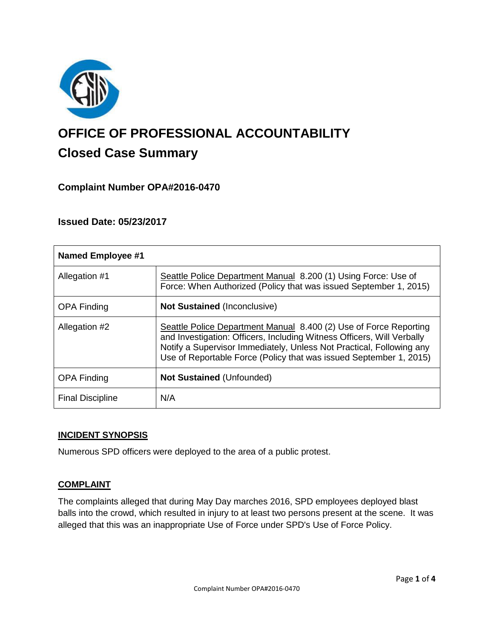

# **OFFICE OF PROFESSIONAL ACCOUNTABILITY Closed Case Summary**

# **Complaint Number OPA#2016-0470**

## **Issued Date: 05/23/2017**

| <b>Named Employee #1</b> |                                                                                                                                                                                                                                                                                           |
|--------------------------|-------------------------------------------------------------------------------------------------------------------------------------------------------------------------------------------------------------------------------------------------------------------------------------------|
| Allegation #1            | Seattle Police Department Manual 8.200 (1) Using Force: Use of<br>Force: When Authorized (Policy that was issued September 1, 2015)                                                                                                                                                       |
| <b>OPA Finding</b>       | <b>Not Sustained (Inconclusive)</b>                                                                                                                                                                                                                                                       |
| Allegation #2            | Seattle Police Department Manual 8.400 (2) Use of Force Reporting<br>and Investigation: Officers, Including Witness Officers, Will Verbally<br>Notify a Supervisor Immediately, Unless Not Practical, Following any<br>Use of Reportable Force (Policy that was issued September 1, 2015) |
| <b>OPA Finding</b>       | <b>Not Sustained (Unfounded)</b>                                                                                                                                                                                                                                                          |
| <b>Final Discipline</b>  | N/A                                                                                                                                                                                                                                                                                       |

#### **INCIDENT SYNOPSIS**

Numerous SPD officers were deployed to the area of a public protest.

#### **COMPLAINT**

The complaints alleged that during May Day marches 2016, SPD employees deployed blast balls into the crowd, which resulted in injury to at least two persons present at the scene. It was alleged that this was an inappropriate Use of Force under SPD's Use of Force Policy.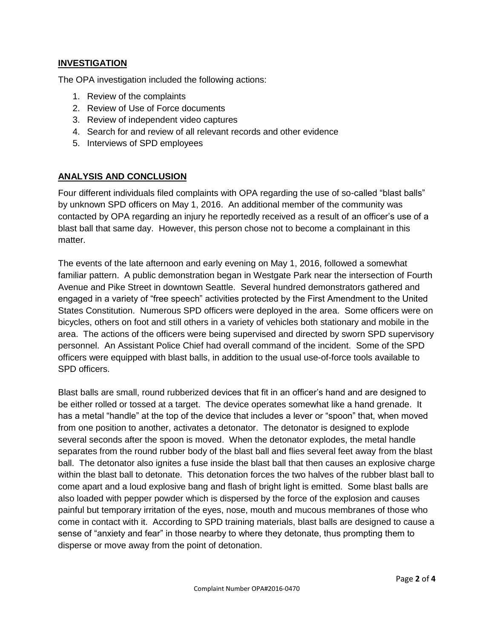## **INVESTIGATION**

The OPA investigation included the following actions:

- 1. Review of the complaints
- 2. Review of Use of Force documents
- 3. Review of independent video captures
- 4. Search for and review of all relevant records and other evidence
- 5. Interviews of SPD employees

## **ANALYSIS AND CONCLUSION**

Four different individuals filed complaints with OPA regarding the use of so-called "blast balls" by unknown SPD officers on May 1, 2016. An additional member of the community was contacted by OPA regarding an injury he reportedly received as a result of an officer's use of a blast ball that same day. However, this person chose not to become a complainant in this matter.

The events of the late afternoon and early evening on May 1, 2016, followed a somewhat familiar pattern. A public demonstration began in Westgate Park near the intersection of Fourth Avenue and Pike Street in downtown Seattle. Several hundred demonstrators gathered and engaged in a variety of "free speech" activities protected by the First Amendment to the United States Constitution. Numerous SPD officers were deployed in the area. Some officers were on bicycles, others on foot and still others in a variety of vehicles both stationary and mobile in the area. The actions of the officers were being supervised and directed by sworn SPD supervisory personnel. An Assistant Police Chief had overall command of the incident. Some of the SPD officers were equipped with blast balls, in addition to the usual use-of-force tools available to SPD officers.

Blast balls are small, round rubberized devices that fit in an officer's hand and are designed to be either rolled or tossed at a target. The device operates somewhat like a hand grenade. It has a metal "handle" at the top of the device that includes a lever or "spoon" that, when moved from one position to another, activates a detonator. The detonator is designed to explode several seconds after the spoon is moved. When the detonator explodes, the metal handle separates from the round rubber body of the blast ball and flies several feet away from the blast ball. The detonator also ignites a fuse inside the blast ball that then causes an explosive charge within the blast ball to detonate. This detonation forces the two halves of the rubber blast ball to come apart and a loud explosive bang and flash of bright light is emitted. Some blast balls are also loaded with pepper powder which is dispersed by the force of the explosion and causes painful but temporary irritation of the eyes, nose, mouth and mucous membranes of those who come in contact with it. According to SPD training materials, blast balls are designed to cause a sense of "anxiety and fear" in those nearby to where they detonate, thus prompting them to disperse or move away from the point of detonation.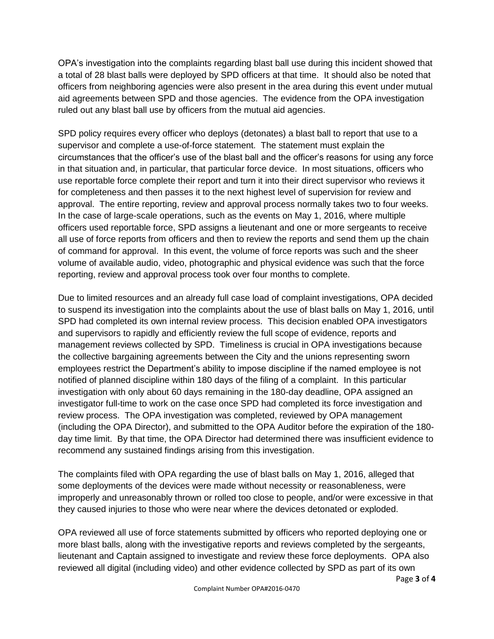OPA's investigation into the complaints regarding blast ball use during this incident showed that a total of 28 blast balls were deployed by SPD officers at that time. It should also be noted that officers from neighboring agencies were also present in the area during this event under mutual aid agreements between SPD and those agencies. The evidence from the OPA investigation ruled out any blast ball use by officers from the mutual aid agencies.

SPD policy requires every officer who deploys (detonates) a blast ball to report that use to a supervisor and complete a use-of-force statement. The statement must explain the circumstances that the officer's use of the blast ball and the officer's reasons for using any force in that situation and, in particular, that particular force device. In most situations, officers who use reportable force complete their report and turn it into their direct supervisor who reviews it for completeness and then passes it to the next highest level of supervision for review and approval. The entire reporting, review and approval process normally takes two to four weeks. In the case of large-scale operations, such as the events on May 1, 2016, where multiple officers used reportable force, SPD assigns a lieutenant and one or more sergeants to receive all use of force reports from officers and then to review the reports and send them up the chain of command for approval. In this event, the volume of force reports was such and the sheer volume of available audio, video, photographic and physical evidence was such that the force reporting, review and approval process took over four months to complete.

Due to limited resources and an already full case load of complaint investigations, OPA decided to suspend its investigation into the complaints about the use of blast balls on May 1, 2016, until SPD had completed its own internal review process. This decision enabled OPA investigators and supervisors to rapidly and efficiently review the full scope of evidence, reports and management reviews collected by SPD. Timeliness is crucial in OPA investigations because the collective bargaining agreements between the City and the unions representing sworn employees restrict the Department's ability to impose discipline if the named employee is not notified of planned discipline within 180 days of the filing of a complaint. In this particular investigation with only about 60 days remaining in the 180-day deadline, OPA assigned an investigator full-time to work on the case once SPD had completed its force investigation and review process. The OPA investigation was completed, reviewed by OPA management (including the OPA Director), and submitted to the OPA Auditor before the expiration of the 180 day time limit. By that time, the OPA Director had determined there was insufficient evidence to recommend any sustained findings arising from this investigation.

The complaints filed with OPA regarding the use of blast balls on May 1, 2016, alleged that some deployments of the devices were made without necessity or reasonableness, were improperly and unreasonably thrown or rolled too close to people, and/or were excessive in that they caused injuries to those who were near where the devices detonated or exploded.

OPA reviewed all use of force statements submitted by officers who reported deploying one or more blast balls, along with the investigative reports and reviews completed by the sergeants, lieutenant and Captain assigned to investigate and review these force deployments. OPA also reviewed all digital (including video) and other evidence collected by SPD as part of its own